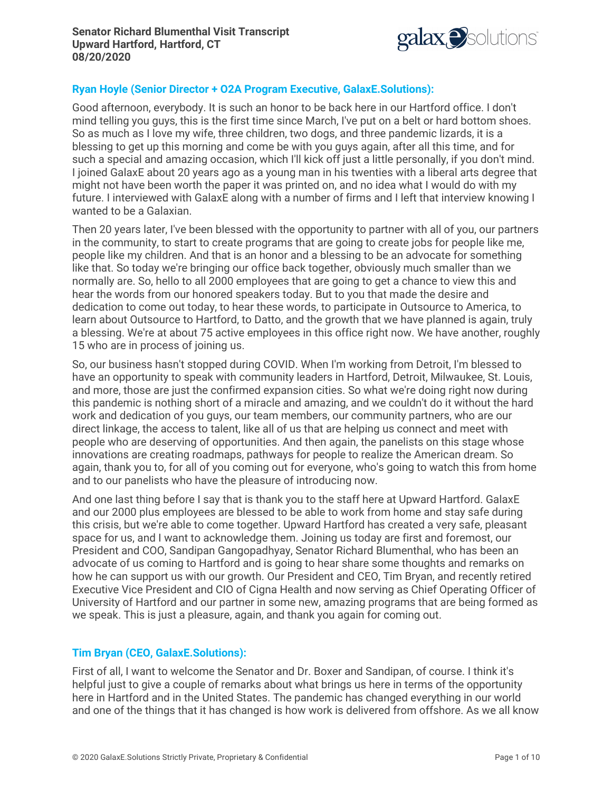

# **Ryan Hoyle (Senior Director + O2A Program Executive, GalaxE.Solutions):**

Good afternoon, everybody. It is such an honor to be back here in our Hartford office. I don't mind telling you guys, this is the first time since March, I've put on a belt or hard bottom shoes. So as much as I love my wife, three children, two dogs, and three pandemic lizards, it is a blessing to get up this morning and come be with you guys again, after all this time, and for such a special and amazing occasion, which I'll kick off just a little personally, if you don't mind. I joined GalaxE about 20 years ago as a young man in his twenties with a liberal arts degree that might not have been worth the paper it was printed on, and no idea what I would do with my future. I interviewed with GalaxE along with a number of firms and I left that interview knowing I wanted to be a Galaxian.

Then 20 years later, I've been blessed with the opportunity to partner with all of you, our partners in the community, to start to create programs that are going to create jobs for people like me, people like my children. And that is an honor and a blessing to be an advocate for something like that. So today we're bringing our office back together, obviously much smaller than we normally are. So, hello to all 2000 employees that are going to get a chance to view this and hear the words from our honored speakers today. But to you that made the desire and dedication to come out today, to hear these words, to participate in Outsource to America, to learn about Outsource to Hartford, to Datto, and the growth that we have planned is again, truly a blessing. We're at about 75 active employees in this office right now. We have another, roughly 15 who are in process of joining us.

So, our business hasn't stopped during COVID. When I'm working from Detroit, I'm blessed to have an opportunity to speak with community leaders in Hartford, Detroit, Milwaukee, St. Louis, and more, those are just the confirmed expansion cities. So what we're doing right now during this pandemic is nothing short of a miracle and amazing, and we couldn't do it without the hard work and dedication of you guys, our team members, our community partners, who are our direct linkage, the access to talent, like all of us that are helping us connect and meet with people who are deserving of opportunities. And then again, the panelists on this stage whose innovations are creating roadmaps, pathways for people to realize the American dream. So again, thank you to, for all of you coming out for everyone, who's going to watch this from home and to our panelists who have the pleasure of introducing now.

And one last thing before I say that is thank you to the staff here at Upward Hartford. GalaxE and our 2000 plus employees are blessed to be able to work from home and stay safe during this crisis, but we're able to come together. Upward Hartford has created a very safe, pleasant space for us, and I want to acknowledge them. Joining us today are first and foremost, our President and COO, Sandipan Gangopadhyay, Senator Richard Blumenthal, who has been an advocate of us coming to Hartford and is going to hear share some thoughts and remarks on how he can support us with our growth. Our President and CEO, Tim Bryan, and recently retired Executive Vice President and CIO of Cigna Health and now serving as Chief Operating Officer of University of Hartford and our partner in some new, amazing programs that are being formed as we speak. This is just a pleasure, again, and thank you again for coming out.

#### **Tim Bryan (CEO, GalaxE.Solutions):**

First of all, I want to welcome the Senator and Dr. Boxer and Sandipan, of course. I think it's helpful just to give a couple of remarks about what brings us here in terms of the opportunity here in Hartford and in the United States. The pandemic has changed everything in our world and one of the things that it has changed is how work is delivered from offshore. As we all know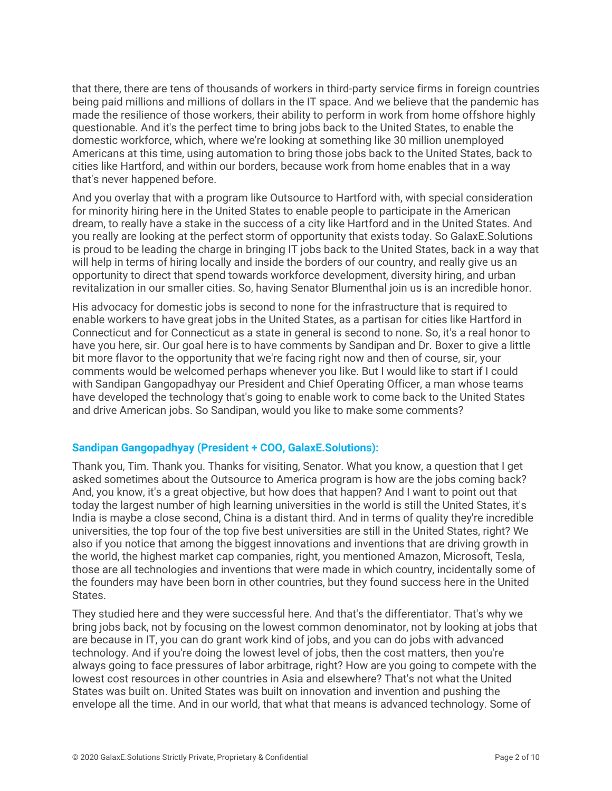that there, there are tens of thousands of workers in third-party service firms in foreign countries being paid millions and millions of dollars in the IT space. And we believe that the pandemic has made the resilience of those workers, their ability to perform in work from home offshore highly questionable. And it's the perfect time to bring jobs back to the United States, to enable the domestic workforce, which, where we're looking at something like 30 million unemployed Americans at this time, using automation to bring those jobs back to the United States, back to cities like Hartford, and within our borders, because work from home enables that in a way that's never happened before.

And you overlay that with a program like Outsource to Hartford with, with special consideration for minority hiring here in the United States to enable people to participate in the American dream, to really have a stake in the success of a city like Hartford and in the United States. And you really are looking at the perfect storm of opportunity that exists today. So GalaxE.Solutions is proud to be leading the charge in bringing IT jobs back to the United States, back in a way that will help in terms of hiring locally and inside the borders of our country, and really give us an opportunity to direct that spend towards workforce development, diversity hiring, and urban revitalization in our smaller cities. So, having Senator Blumenthal join us is an incredible honor.

His advocacy for domestic jobs is second to none for the infrastructure that is required to enable workers to have great jobs in the United States, as a partisan for cities like Hartford in Connecticut and for Connecticut as a state in general is second to none. So, it's a real honor to have you here, sir. Our goal here is to have comments by Sandipan and Dr. Boxer to give a little bit more flavor to the opportunity that we're facing right now and then of course, sir, your comments would be welcomed perhaps whenever you like. But I would like to start if I could with Sandipan Gangopadhyay our President and Chief Operating Officer, a man whose teams have developed the technology that's going to enable work to come back to the United States and drive American jobs. So Sandipan, would you like to make some comments?

# **Sandipan Gangopadhyay (President + COO, GalaxE.Solutions):**

Thank you, Tim. Thank you. Thanks for visiting, Senator. What you know, a question that I get asked sometimes about the Outsource to America program is how are the jobs coming back? And, you know, it's a great objective, but how does that happen? And I want to point out that today the largest number of high learning universities in the world is still the United States, it's India is maybe a close second, China is a distant third. And in terms of quality they're incredible universities, the top four of the top five best universities are still in the United States, right? We also if you notice that among the biggest innovations and inventions that are driving growth in the world, the highest market cap companies, right, you mentioned Amazon, Microsoft, Tesla, those are all technologies and inventions that were made in which country, incidentally some of the founders may have been born in other countries, but they found success here in the United States.

They studied here and they were successful here. And that's the differentiator. That's why we bring jobs back, not by focusing on the lowest common denominator, not by looking at jobs that are because in IT, you can do grant work kind of jobs, and you can do jobs with advanced technology. And if you're doing the lowest level of jobs, then the cost matters, then you're always going to face pressures of labor arbitrage, right? How are you going to compete with the lowest cost resources in other countries in Asia and elsewhere? That's not what the United States was built on. United States was built on innovation and invention and pushing the envelope all the time. And in our world, that what that means is advanced technology. Some of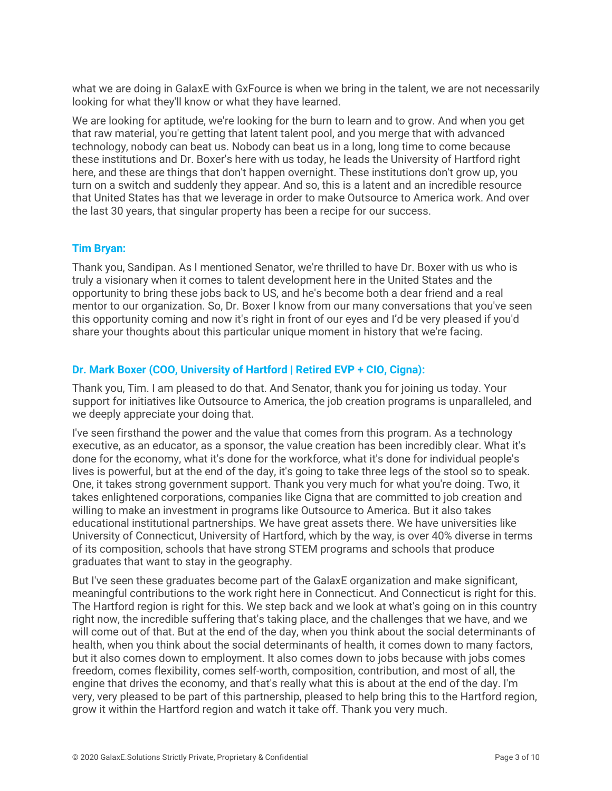what we are doing in GalaxE with GxFource is when we bring in the talent, we are not necessarily looking for what they'll know or what they have learned.

We are looking for aptitude, we're looking for the burn to learn and to grow. And when you get that raw material, you're getting that latent talent pool, and you merge that with advanced technology, nobody can beat us. Nobody can beat us in a long, long time to come because these institutions and Dr. Boxer's here with us today, he leads the University of Hartford right here, and these are things that don't happen overnight. These institutions don't grow up, you turn on a switch and suddenly they appear. And so, this is a latent and an incredible resource that United States has that we leverage in order to make Outsource to America work. And over the last 30 years, that singular property has been a recipe for our success.

# **Tim Bryan:**

Thank you, Sandipan. As I mentioned Senator, we're thrilled to have Dr. Boxer with us who is truly a visionary when it comes to talent development here in the United States and the opportunity to bring these jobs back to US, and he's become both a dear friend and a real mentor to our organization. So, Dr. Boxer I know from our many conversations that you've seen this opportunity coming and now it's right in front of our eyes and I'd be very pleased if you'd share your thoughts about this particular unique moment in history that we're facing.

# **Dr. Mark Boxer (COO, University of Hartford | Retired EVP + CIO, Cigna):**

Thank you, Tim. I am pleased to do that. And Senator, thank you for joining us today. Your support for initiatives like Outsource to America, the job creation programs is unparalleled, and we deeply appreciate your doing that.

I've seen firsthand the power and the value that comes from this program. As a technology executive, as an educator, as a sponsor, the value creation has been incredibly clear. What it's done for the economy, what it's done for the workforce, what it's done for individual people's lives is powerful, but at the end of the day, it's going to take three legs of the stool so to speak. One, it takes strong government support. Thank you very much for what you're doing. Two, it takes enlightened corporations, companies like Cigna that are committed to job creation and willing to make an investment in programs like Outsource to America. But it also takes educational institutional partnerships. We have great assets there. We have universities like University of Connecticut, University of Hartford, which by the way, is over 40% diverse in terms of its composition, schools that have strong STEM programs and schools that produce graduates that want to stay in the geography.

But I've seen these graduates become part of the GalaxE organization and make significant, meaningful contributions to the work right here in Connecticut. And Connecticut is right for this. The Hartford region is right for this. We step back and we look at what's going on in this country right now, the incredible suffering that's taking place, and the challenges that we have, and we will come out of that. But at the end of the day, when you think about the social determinants of health, when you think about the social determinants of health, it comes down to many factors, but it also comes down to employment. It also comes down to jobs because with jobs comes freedom, comes flexibility, comes self-worth, composition, contribution, and most of all, the engine that drives the economy, and that's really what this is about at the end of the day. I'm very, very pleased to be part of this partnership, pleased to help bring this to the Hartford region, grow it within the Hartford region and watch it take off. Thank you very much.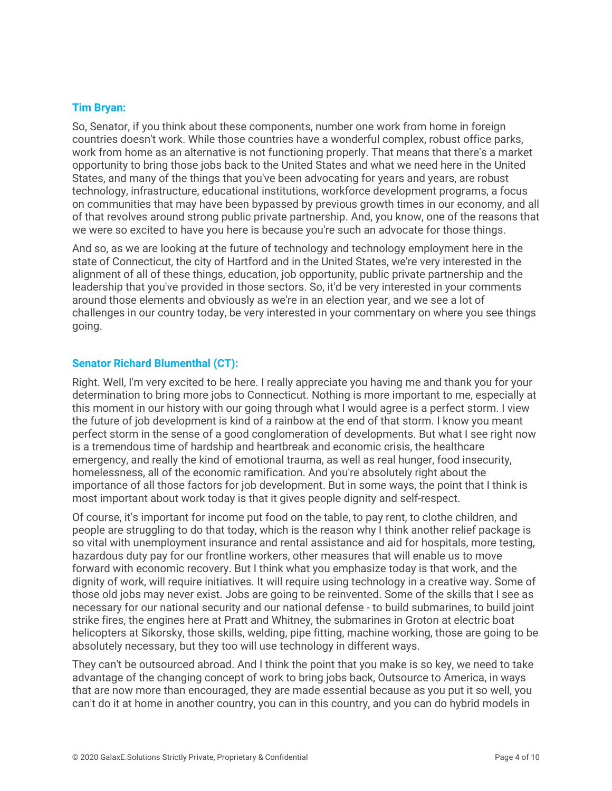### **Tim Bryan:**

So, Senator, if you think about these components, number one work from home in foreign countries doesn't work. While those countries have a wonderful complex, robust office parks, work from home as an alternative is not functioning properly. That means that there's a market opportunity to bring those jobs back to the United States and what we need here in the United States, and many of the things that you've been advocating for years and years, are robust technology, infrastructure, educational institutions, workforce development programs, a focus on communities that may have been bypassed by previous growth times in our economy, and all of that revolves around strong public private partnership. And, you know, one of the reasons that we were so excited to have you here is because you're such an advocate for those things.

And so, as we are looking at the future of technology and technology employment here in the state of Connecticut, the city of Hartford and in the United States, we're very interested in the alignment of all of these things, education, job opportunity, public private partnership and the leadership that you've provided in those sectors. So, it'd be very interested in your comments around those elements and obviously as we're in an election year, and we see a lot of challenges in our country today, be very interested in your commentary on where you see things going.

### **Senator Richard Blumenthal (CT):**

Right. Well, I'm very excited to be here. I really appreciate you having me and thank you for your determination to bring more jobs to Connecticut. Nothing is more important to me, especially at this moment in our history with our going through what I would agree is a perfect storm. I view the future of job development is kind of a rainbow at the end of that storm. I know you meant perfect storm in the sense of a good conglomeration of developments. But what I see right now is a tremendous time of hardship and heartbreak and economic crisis, the healthcare emergency, and really the kind of emotional trauma, as well as real hunger, food insecurity, homelessness, all of the economic ramification. And you're absolutely right about the importance of all those factors for job development. But in some ways, the point that I think is most important about work today is that it gives people dignity and self-respect.

Of course, it's important for income put food on the table, to pay rent, to clothe children, and people are struggling to do that today, which is the reason why I think another relief package is so vital with unemployment insurance and rental assistance and aid for hospitals, more testing, hazardous duty pay for our frontline workers, other measures that will enable us to move forward with economic recovery. But I think what you emphasize today is that work, and the dignity of work, will require initiatives. It will require using technology in a creative way. Some of those old jobs may never exist. Jobs are going to be reinvented. Some of the skills that I see as necessary for our national security and our national defense - to build submarines, to build joint strike fires, the engines here at Pratt and Whitney, the submarines in Groton at electric boat helicopters at Sikorsky, those skills, welding, pipe fitting, machine working, those are going to be absolutely necessary, but they too will use technology in different ways.

They can't be outsourced abroad. And I think the point that you make is so key, we need to take advantage of the changing concept of work to bring jobs back, Outsource to America, in ways that are now more than encouraged, they are made essential because as you put it so well, you can't do it at home in another country, you can in this country, and you can do hybrid models in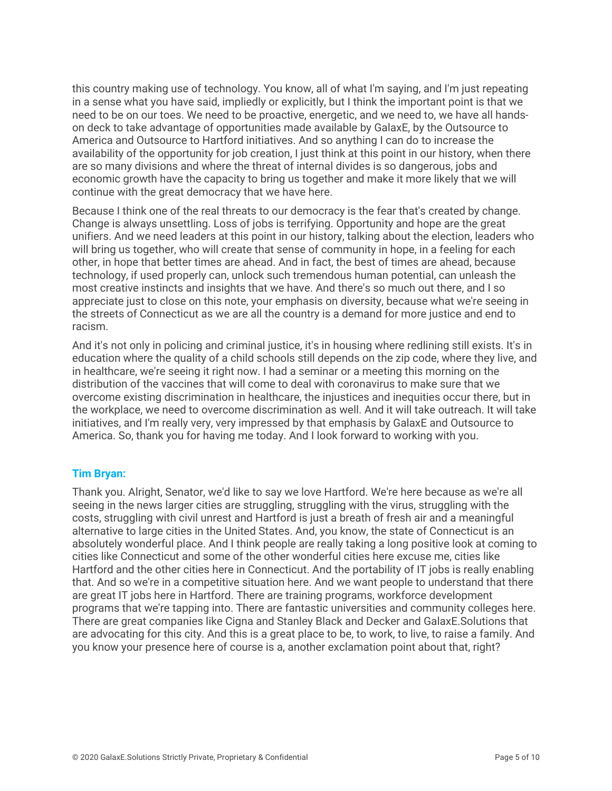this country making use of technology. You know, all of what I'm saying, and I'm just repeating in a sense what you have said, impliedly or explicitly, but I think the important point is that we need to be on our toes. We need to be proactive, energetic, and we need to, we have all handson deck to take advantage of opportunities made available by GalaxE, by the Outsource to America and Outsource to Hartford initiatives. And so anything I can do to increase the availability of the opportunity for job creation, I just think at this point in our history, when there are so many divisions and where the threat of internal divides is so dangerous, jobs and economic growth have the capacity to bring us together and make it more likely that we will continue with the great democracy that we have here.

Because I think one of the real threats to our democracy is the fear that's created by change. Change is always unsettling. Loss of jobs is terrifying. Opportunity and hope are the great unifiers. And we need leaders at this point in our history, talking about the election, leaders who will bring us together, who will create that sense of community in hope, in a feeling for each other, in hope that better times are ahead. And in fact, the best of times are ahead, because technology, if used properly can, unlock such tremendous human potential, can unleash the most creative instincts and insights that we have. And there's so much out there, and I so appreciate just to close on this note, your emphasis on diversity, because what we're seeing in the streets of Connecticut as we are all the country is a demand for more justice and end to racism.

And it's not only in policing and criminal justice, it's in housing where redlining still exists. It's in education where the quality of a child schools still depends on the zip code, where they live, and in healthcare, we're seeing it right now. I had a seminar or a meeting this morning on the distribution of the vaccines that will come to deal with coronavirus to make sure that we overcome existing discrimination in healthcare, the injustices and inequities occur there, but in the workplace, we need to overcome discrimination as well. And it will take outreach. It will take initiatives, and I'm really very, very impressed by that emphasis by GalaxE and Outsource to America. So, thank you for having me today. And I look forward to working with you.

# **Tim Bryan:**

Thank you. Alright, Senator, we'd like to say we love Hartford. We're here because as we're all seeing in the news larger cities are struggling, struggling with the virus, struggling with the costs, struggling with civil unrest and Hartford is just a breath of fresh air and a meaningful alternative to large cities in the United States. And, you know, the state of Connecticut is an absolutely wonderful place. And I think people are really taking a long positive look at coming to cities like Connecticut and some of the other wonderful cities here excuse me, cities like Hartford and the other cities here in Connecticut. And the portability of IT jobs is really enabling that. And so we're in a competitive situation here. And we want people to understand that there are great IT jobs here in Hartford. There are training programs, workforce development programs that we're tapping into. There are fantastic universities and community colleges here. There are great companies like Cigna and Stanley Black and Decker and GalaxE.Solutions that are advocating for this city. And this is a great place to be, to work, to live, to raise a family. And you know your presence here of course is a, another exclamation point about that, right?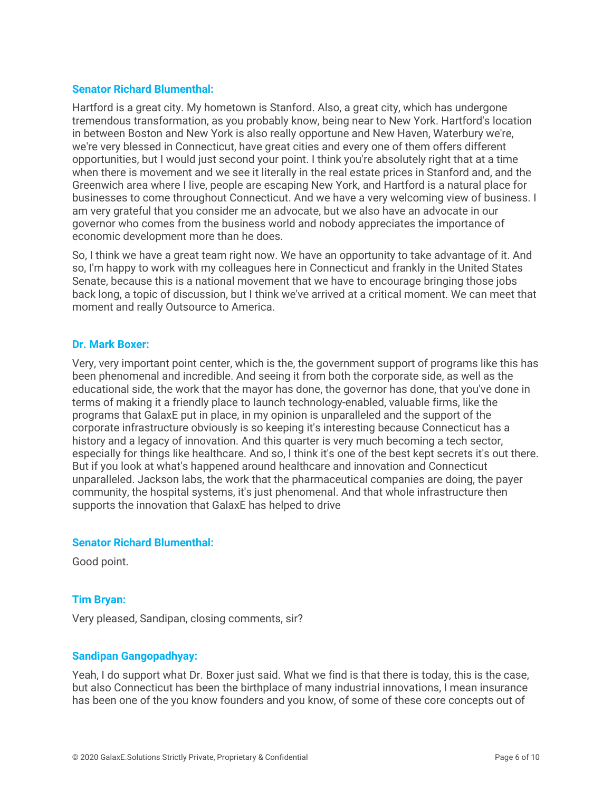### **Senator Richard Blumenthal:**

Hartford is a great city. My hometown is Stanford. Also, a great city, which has undergone tremendous transformation, as you probably know, being near to New York. Hartford's location in between Boston and New York is also really opportune and New Haven, Waterbury we're, we're very blessed in Connecticut, have great cities and every one of them offers different opportunities, but I would just second your point. I think you're absolutely right that at a time when there is movement and we see it literally in the real estate prices in Stanford and, and the Greenwich area where I live, people are escaping New York, and Hartford is a natural place for businesses to come throughout Connecticut. And we have a very welcoming view of business. I am very grateful that you consider me an advocate, but we also have an advocate in our governor who comes from the business world and nobody appreciates the importance of economic development more than he does.

So, I think we have a great team right now. We have an opportunity to take advantage of it. And so, I'm happy to work with my colleagues here in Connecticut and frankly in the United States Senate, because this is a national movement that we have to encourage bringing those jobs back long, a topic of discussion, but I think we've arrived at a critical moment. We can meet that moment and really Outsource to America.

#### **Dr. Mark Boxer:**

Very, very important point center, which is the, the government support of programs like this has been phenomenal and incredible. And seeing it from both the corporate side, as well as the educational side, the work that the mayor has done, the governor has done, that you've done in terms of making it a friendly place to launch technology-enabled, valuable firms, like the programs that GalaxE put in place, in my opinion is unparalleled and the support of the corporate infrastructure obviously is so keeping it's interesting because Connecticut has a history and a legacy of innovation. And this quarter is very much becoming a tech sector, especially for things like healthcare. And so, I think it's one of the best kept secrets it's out there. But if you look at what's happened around healthcare and innovation and Connecticut unparalleled. Jackson labs, the work that the pharmaceutical companies are doing, the payer community, the hospital systems, it's just phenomenal. And that whole infrastructure then supports the innovation that GalaxE has helped to drive

#### **Senator Richard Blumenthal:**

Good point.

# **Tim Bryan:**

Very pleased, Sandipan, closing comments, sir?

#### **Sandipan Gangopadhyay:**

Yeah, I do support what Dr. Boxer just said. What we find is that there is today, this is the case, but also Connecticut has been the birthplace of many industrial innovations, I mean insurance has been one of the you know founders and you know, of some of these core concepts out of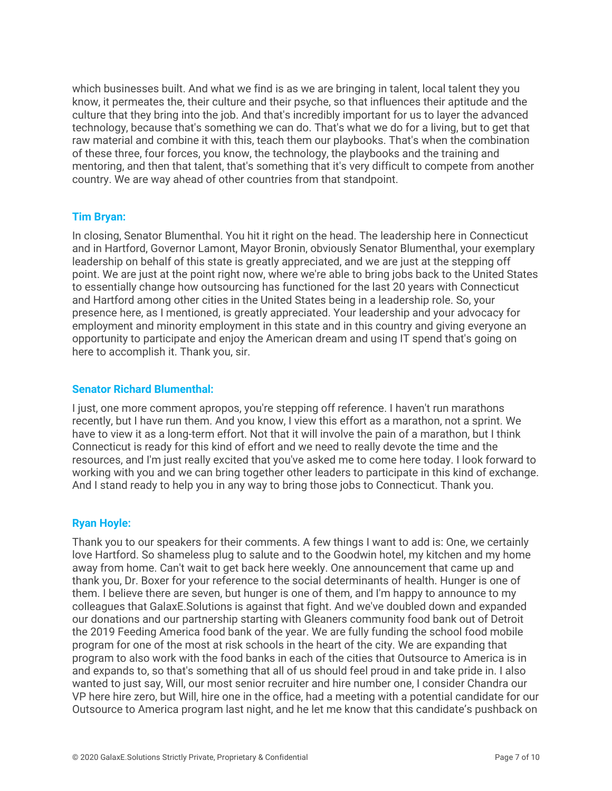which businesses built. And what we find is as we are bringing in talent, local talent they you know, it permeates the, their culture and their psyche, so that influences their aptitude and the culture that they bring into the job. And that's incredibly important for us to layer the advanced technology, because that's something we can do. That's what we do for a living, but to get that raw material and combine it with this, teach them our playbooks. That's when the combination of these three, four forces, you know, the technology, the playbooks and the training and mentoring, and then that talent, that's something that it's very difficult to compete from another country. We are way ahead of other countries from that standpoint.

### **Tim Bryan:**

In closing, Senator Blumenthal. You hit it right on the head. The leadership here in Connecticut and in Hartford, Governor Lamont, Mayor Bronin, obviously Senator Blumenthal, your exemplary leadership on behalf of this state is greatly appreciated, and we are just at the stepping off point. We are just at the point right now, where we're able to bring jobs back to the United States to essentially change how outsourcing has functioned for the last 20 years with Connecticut and Hartford among other cities in the United States being in a leadership role. So, your presence here, as I mentioned, is greatly appreciated. Your leadership and your advocacy for employment and minority employment in this state and in this country and giving everyone an opportunity to participate and enjoy the American dream and using IT spend that's going on here to accomplish it. Thank you, sir.

#### **Senator Richard Blumenthal:**

I just, one more comment apropos, you're stepping off reference. I haven't run marathons recently, but I have run them. And you know, I view this effort as a marathon, not a sprint. We have to view it as a long-term effort. Not that it will involve the pain of a marathon, but I think Connecticut is ready for this kind of effort and we need to really devote the time and the resources, and I'm just really excited that you've asked me to come here today. I look forward to working with you and we can bring together other leaders to participate in this kind of exchange. And I stand ready to help you in any way to bring those jobs to Connecticut. Thank you.

#### **Ryan Hoyle:**

Thank you to our speakers for their comments. A few things I want to add is: One, we certainly love Hartford. So shameless plug to salute and to the Goodwin hotel, my kitchen and my home away from home. Can't wait to get back here weekly. One announcement that came up and thank you, Dr. Boxer for your reference to the social determinants of health. Hunger is one of them. I believe there are seven, but hunger is one of them, and I'm happy to announce to my colleagues that GalaxE.Solutions is against that fight. And we've doubled down and expanded our donations and our partnership starting with Gleaners community food bank out of Detroit the 2019 Feeding America food bank of the year. We are fully funding the school food mobile program for one of the most at risk schools in the heart of the city. We are expanding that program to also work with the food banks in each of the cities that Outsource to America is in and expands to, so that's something that all of us should feel proud in and take pride in. I also wanted to just say, Will, our most senior recruiter and hire number one, I consider Chandra our VP here hire zero, but Will, hire one in the office, had a meeting with a potential candidate for our Outsource to America program last night, and he let me know that this candidate's pushback on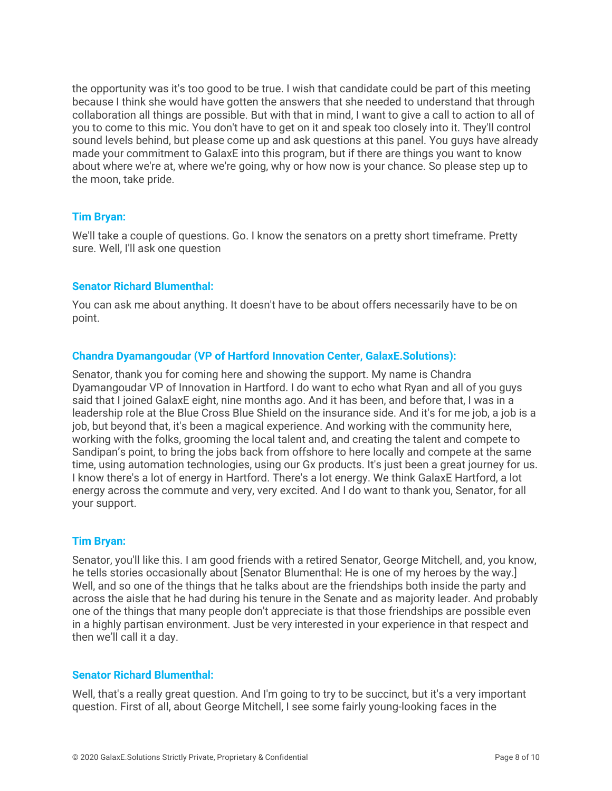the opportunity was it's too good to be true. I wish that candidate could be part of this meeting because I think she would have gotten the answers that she needed to understand that through collaboration all things are possible. But with that in mind, I want to give a call to action to all of you to come to this mic. You don't have to get on it and speak too closely into it. They'll control sound levels behind, but please come up and ask questions at this panel. You guys have already made your commitment to GalaxE into this program, but if there are things you want to know about where we're at, where we're going, why or how now is your chance. So please step up to the moon, take pride.

### **Tim Bryan:**

We'll take a couple of questions. Go. I know the senators on a pretty short timeframe. Pretty sure. Well, I'll ask one question

### **Senator Richard Blumenthal:**

You can ask me about anything. It doesn't have to be about offers necessarily have to be on point.

### **Chandra Dyamangoudar (VP of Hartford Innovation Center, GalaxE.Solutions):**

Senator, thank you for coming here and showing the support. My name is Chandra Dyamangoudar VP of Innovation in Hartford. I do want to echo what Ryan and all of you guys said that I joined GalaxE eight, nine months ago. And it has been, and before that, I was in a leadership role at the Blue Cross Blue Shield on the insurance side. And it's for me job, a job is a job, but beyond that, it's been a magical experience. And working with the community here, working with the folks, grooming the local talent and, and creating the talent and compete to Sandipan's point, to bring the jobs back from offshore to here locally and compete at the same time, using automation technologies, using our Gx products. It's just been a great journey for us. I know there's a lot of energy in Hartford. There's a lot energy. We think GalaxE Hartford, a lot energy across the commute and very, very excited. And I do want to thank you, Senator, for all your support.

#### **Tim Bryan:**

Senator, you'll like this. I am good friends with a retired Senator, George Mitchell, and, you know, he tells stories occasionally about [Senator Blumenthal: He is one of my heroes by the way.] Well, and so one of the things that he talks about are the friendships both inside the party and across the aisle that he had during his tenure in the Senate and as majority leader. And probably one of the things that many people don't appreciate is that those friendships are possible even in a highly partisan environment. Just be very interested in your experience in that respect and then we'll call it a day.

#### **Senator Richard Blumenthal:**

Well, that's a really great question. And I'm going to try to be succinct, but it's a very important question. First of all, about George Mitchell, I see some fairly young-looking faces in the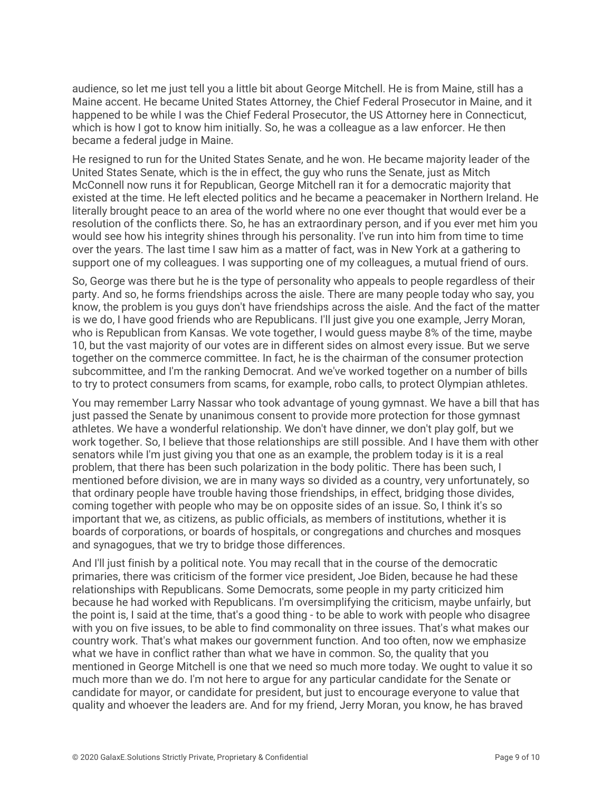audience, so let me just tell you a little bit about George Mitchell. He is from Maine, still has a Maine accent. He became United States Attorney, the Chief Federal Prosecutor in Maine, and it happened to be while I was the Chief Federal Prosecutor, the US Attorney here in Connecticut, which is how I got to know him initially. So, he was a colleague as a law enforcer. He then became a federal judge in Maine.

He resigned to run for the United States Senate, and he won. He became majority leader of the United States Senate, which is the in effect, the guy who runs the Senate, just as Mitch McConnell now runs it for Republican, George Mitchell ran it for a democratic majority that existed at the time. He left elected politics and he became a peacemaker in Northern Ireland. He literally brought peace to an area of the world where no one ever thought that would ever be a resolution of the conflicts there. So, he has an extraordinary person, and if you ever met him you would see how his integrity shines through his personality. I've run into him from time to time over the years. The last time I saw him as a matter of fact, was in New York at a gathering to support one of my colleagues. I was supporting one of my colleagues, a mutual friend of ours.

So, George was there but he is the type of personality who appeals to people regardless of their party. And so, he forms friendships across the aisle. There are many people today who say, you know, the problem is you guys don't have friendships across the aisle. And the fact of the matter is we do, I have good friends who are Republicans. I'll just give you one example, Jerry Moran, who is Republican from Kansas. We vote together, I would guess maybe 8% of the time, maybe 10, but the vast majority of our votes are in different sides on almost every issue. But we serve together on the commerce committee. In fact, he is the chairman of the consumer protection subcommittee, and I'm the ranking Democrat. And we've worked together on a number of bills to try to protect consumers from scams, for example, robo calls, to protect Olympian athletes.

You may remember Larry Nassar who took advantage of young gymnast. We have a bill that has just passed the Senate by unanimous consent to provide more protection for those gymnast athletes. We have a wonderful relationship. We don't have dinner, we don't play golf, but we work together. So, I believe that those relationships are still possible. And I have them with other senators while I'm just giving you that one as an example, the problem today is it is a real problem, that there has been such polarization in the body politic. There has been such, I mentioned before division, we are in many ways so divided as a country, very unfortunately, so that ordinary people have trouble having those friendships, in effect, bridging those divides, coming together with people who may be on opposite sides of an issue. So, I think it's so important that we, as citizens, as public officials, as members of institutions, whether it is boards of corporations, or boards of hospitals, or congregations and churches and mosques and synagogues, that we try to bridge those differences.

And I'll just finish by a political note. You may recall that in the course of the democratic primaries, there was criticism of the former vice president, Joe Biden, because he had these relationships with Republicans. Some Democrats, some people in my party criticized him because he had worked with Republicans. I'm oversimplifying the criticism, maybe unfairly, but the point is, I said at the time, that's a good thing - to be able to work with people who disagree with you on five issues, to be able to find commonality on three issues. That's what makes our country work. That's what makes our government function. And too often, now we emphasize what we have in conflict rather than what we have in common. So, the quality that you mentioned in George Mitchell is one that we need so much more today. We ought to value it so much more than we do. I'm not here to argue for any particular candidate for the Senate or candidate for mayor, or candidate for president, but just to encourage everyone to value that quality and whoever the leaders are. And for my friend, Jerry Moran, you know, he has braved